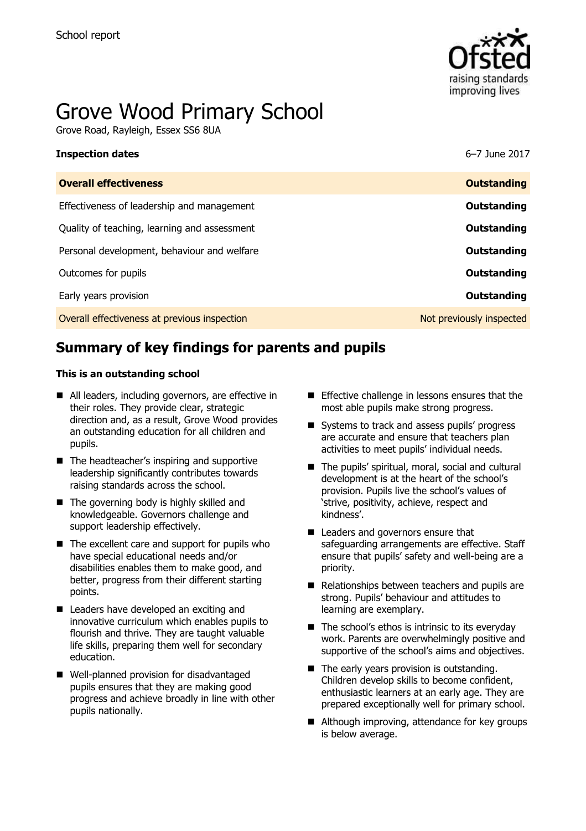

# Grove Wood Primary School

Grove Road, Rayleigh, Essex SS6 8UA

| <b>Inspection dates</b>                      | 6-7 June 2017            |
|----------------------------------------------|--------------------------|
| <b>Overall effectiveness</b>                 | <b>Outstanding</b>       |
| Effectiveness of leadership and management   | Outstanding              |
| Quality of teaching, learning and assessment | Outstanding              |
| Personal development, behaviour and welfare  | Outstanding              |
| Outcomes for pupils                          | <b>Outstanding</b>       |
| Early years provision                        | Outstanding              |
| Overall effectiveness at previous inspection | Not previously inspected |

# **Summary of key findings for parents and pupils**

#### **This is an outstanding school**

- All leaders, including governors, are effective in their roles. They provide clear, strategic direction and, as a result, Grove Wood provides an outstanding education for all children and pupils.
- The headteacher's inspiring and supportive leadership significantly contributes towards raising standards across the school.
- The governing body is highly skilled and knowledgeable. Governors challenge and support leadership effectively.
- $\blacksquare$  The excellent care and support for pupils who have special educational needs and/or disabilities enables them to make good, and better, progress from their different starting points.
- Leaders have developed an exciting and innovative curriculum which enables pupils to flourish and thrive. They are taught valuable life skills, preparing them well for secondary education.
- Well-planned provision for disadvantaged pupils ensures that they are making good progress and achieve broadly in line with other pupils nationally.
- **Effective challenge in lessons ensures that the** most able pupils make strong progress.
- Systems to track and assess pupils' progress are accurate and ensure that teachers plan activities to meet pupils' individual needs.
- The pupils' spiritual, moral, social and cultural development is at the heart of the school"s provision. Pupils live the school"s values of "strive, positivity, achieve, respect and kindness'.
- Leaders and governors ensure that safeguarding arrangements are effective. Staff ensure that pupils" safety and well-being are a priority.
- Relationships between teachers and pupils are strong. Pupils" behaviour and attitudes to learning are exemplary.
- $\blacksquare$  The school's ethos is intrinsic to its everyday work. Parents are overwhelmingly positive and supportive of the school's aims and objectives.
- The early years provision is outstanding. Children develop skills to become confident, enthusiastic learners at an early age. They are prepared exceptionally well for primary school.
- Although improving, attendance for key groups is below average.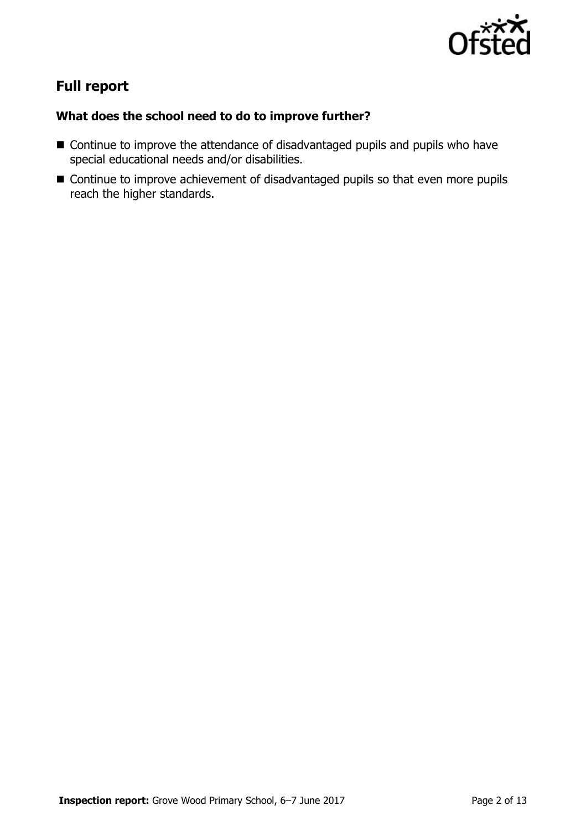

# **Full report**

### **What does the school need to do to improve further?**

- Continue to improve the attendance of disadvantaged pupils and pupils who have special educational needs and/or disabilities.
- Continue to improve achievement of disadvantaged pupils so that even more pupils reach the higher standards.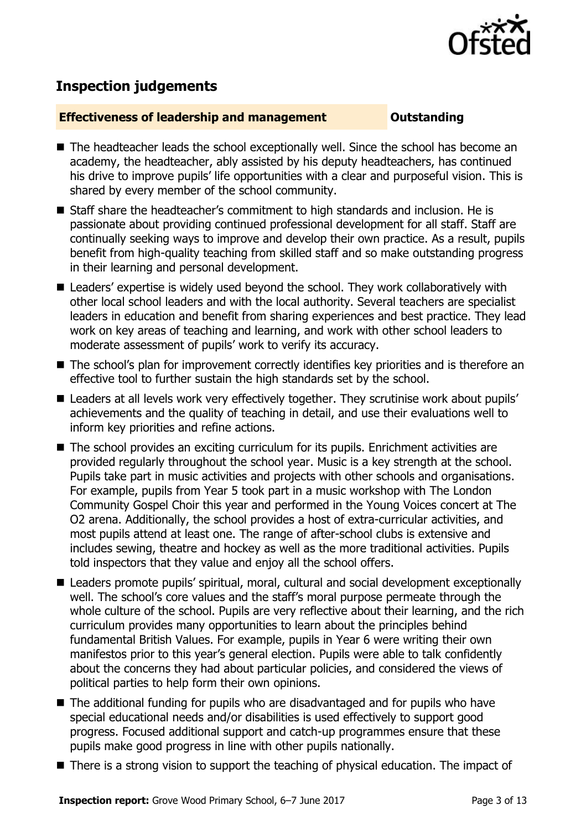

# **Inspection judgements**

#### **Effectiveness of leadership and management Constanding**

- The headteacher leads the school exceptionally well. Since the school has become an academy, the headteacher, ably assisted by his deputy headteachers, has continued his drive to improve pupils" life opportunities with a clear and purposeful vision. This is shared by every member of the school community.
- Staff share the headteacher's commitment to high standards and inclusion. He is passionate about providing continued professional development for all staff. Staff are continually seeking ways to improve and develop their own practice. As a result, pupils benefit from high-quality teaching from skilled staff and so make outstanding progress in their learning and personal development.
- Leaders' expertise is widely used beyond the school. They work collaboratively with other local school leaders and with the local authority. Several teachers are specialist leaders in education and benefit from sharing experiences and best practice. They lead work on key areas of teaching and learning, and work with other school leaders to moderate assessment of pupils' work to verify its accuracy.
- The school's plan for improvement correctly identifies key priorities and is therefore an effective tool to further sustain the high standards set by the school.
- Leaders at all levels work very effectively together. They scrutinise work about pupils' achievements and the quality of teaching in detail, and use their evaluations well to inform key priorities and refine actions.
- The school provides an exciting curriculum for its pupils. Enrichment activities are provided regularly throughout the school year. Music is a key strength at the school. Pupils take part in music activities and projects with other schools and organisations. For example, pupils from Year 5 took part in a music workshop with The London Community Gospel Choir this year and performed in the Young Voices concert at The O2 arena. Additionally, the school provides a host of extra-curricular activities, and most pupils attend at least one. The range of after-school clubs is extensive and includes sewing, theatre and hockey as well as the more traditional activities. Pupils told inspectors that they value and enjoy all the school offers.
- Leaders promote pupils' spiritual, moral, cultural and social development exceptionally well. The school's core values and the staff's moral purpose permeate through the whole culture of the school. Pupils are very reflective about their learning, and the rich curriculum provides many opportunities to learn about the principles behind fundamental British Values. For example, pupils in Year 6 were writing their own manifestos prior to this year's general election. Pupils were able to talk confidently about the concerns they had about particular policies, and considered the views of political parties to help form their own opinions.
- The additional funding for pupils who are disadvantaged and for pupils who have special educational needs and/or disabilities is used effectively to support good progress. Focused additional support and catch-up programmes ensure that these pupils make good progress in line with other pupils nationally.
- There is a strong vision to support the teaching of physical education. The impact of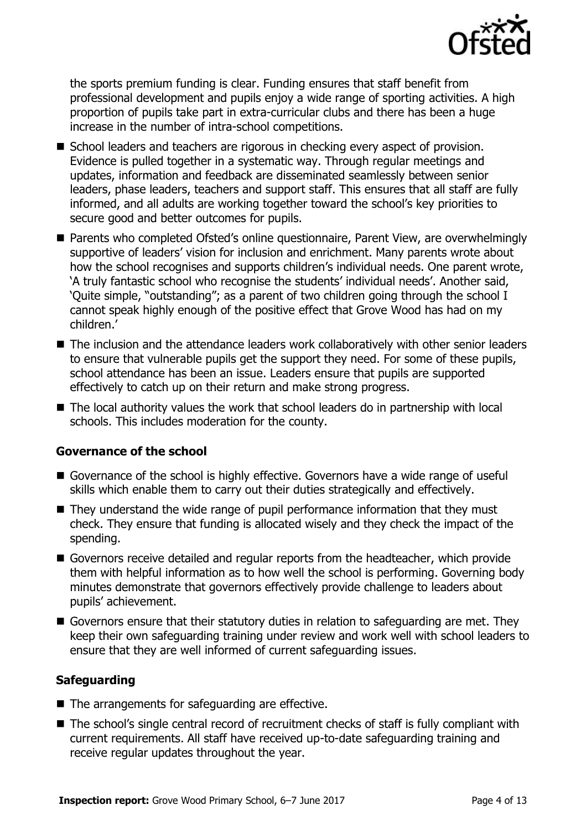

the sports premium funding is clear. Funding ensures that staff benefit from professional development and pupils enjoy a wide range of sporting activities. A high proportion of pupils take part in extra-curricular clubs and there has been a huge increase in the number of intra-school competitions.

- **S** School leaders and teachers are rigorous in checking every aspect of provision. Evidence is pulled together in a systematic way. Through regular meetings and updates, information and feedback are disseminated seamlessly between senior leaders, phase leaders, teachers and support staff. This ensures that all staff are fully informed, and all adults are working together toward the school"s key priorities to secure good and better outcomes for pupils.
- Parents who completed Ofsted's online questionnaire, Parent View, are overwhelmingly supportive of leaders' vision for inclusion and enrichment. Many parents wrote about how the school recognises and supports children's individual needs. One parent wrote, 'A truly fantastic school who recognise the students' individual needs'. Another said, "Quite simple, "outstanding"; as a parent of two children going through the school I cannot speak highly enough of the positive effect that Grove Wood has had on my children."
- The inclusion and the attendance leaders work collaboratively with other senior leaders to ensure that vulnerable pupils get the support they need. For some of these pupils, school attendance has been an issue. Leaders ensure that pupils are supported effectively to catch up on their return and make strong progress.
- The local authority values the work that school leaders do in partnership with local schools. This includes moderation for the county.

### **Governance of the school**

- Governance of the school is highly effective. Governors have a wide range of useful skills which enable them to carry out their duties strategically and effectively.
- They understand the wide range of pupil performance information that they must check. They ensure that funding is allocated wisely and they check the impact of the spending.
- Governors receive detailed and regular reports from the headteacher, which provide them with helpful information as to how well the school is performing. Governing body minutes demonstrate that governors effectively provide challenge to leaders about pupils" achievement.
- Governors ensure that their statutory duties in relation to safeguarding are met. They keep their own safeguarding training under review and work well with school leaders to ensure that they are well informed of current safeguarding issues.

### **Safeguarding**

- The arrangements for safeguarding are effective.
- The school's single central record of recruitment checks of staff is fully compliant with current requirements. All staff have received up-to-date safeguarding training and receive regular updates throughout the year.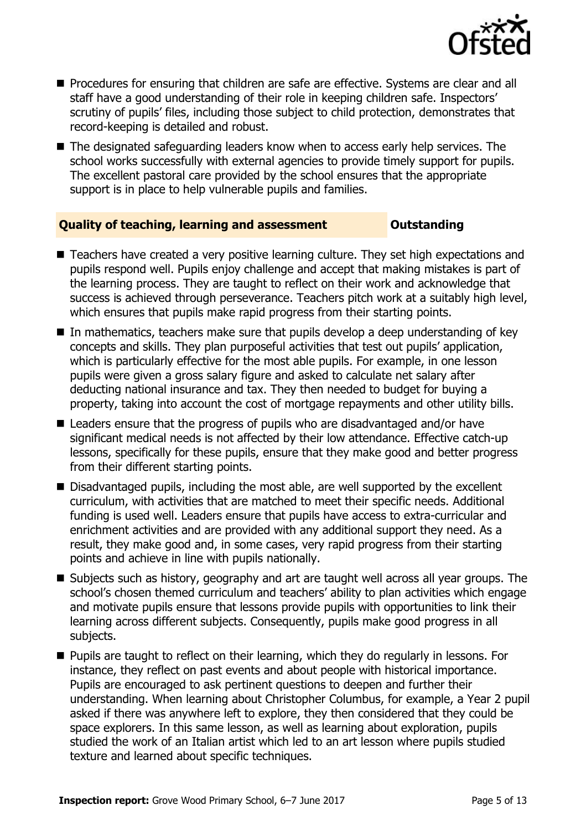

- Procedures for ensuring that children are safe are effective. Systems are clear and all staff have a good understanding of their role in keeping children safe. Inspectors' scrutiny of pupils' files, including those subject to child protection, demonstrates that record-keeping is detailed and robust.
- $\blacksquare$  The designated safeguarding leaders know when to access early help services. The school works successfully with external agencies to provide timely support for pupils. The excellent pastoral care provided by the school ensures that the appropriate support is in place to help vulnerable pupils and families.

#### **Quality of teaching, learning and assessment Outstanding**

- Teachers have created a very positive learning culture. They set high expectations and pupils respond well. Pupils enjoy challenge and accept that making mistakes is part of the learning process. They are taught to reflect on their work and acknowledge that success is achieved through perseverance. Teachers pitch work at a suitably high level, which ensures that pupils make rapid progress from their starting points.
- In mathematics, teachers make sure that pupils develop a deep understanding of key concepts and skills. They plan purposeful activities that test out pupils" application, which is particularly effective for the most able pupils. For example, in one lesson pupils were given a gross salary figure and asked to calculate net salary after deducting national insurance and tax. They then needed to budget for buying a property, taking into account the cost of mortgage repayments and other utility bills.
- Leaders ensure that the progress of pupils who are disadvantaged and/or have significant medical needs is not affected by their low attendance. Effective catch-up lessons, specifically for these pupils, ensure that they make good and better progress from their different starting points.
- Disadvantaged pupils, including the most able, are well supported by the excellent curriculum, with activities that are matched to meet their specific needs. Additional funding is used well. Leaders ensure that pupils have access to extra-curricular and enrichment activities and are provided with any additional support they need. As a result, they make good and, in some cases, very rapid progress from their starting points and achieve in line with pupils nationally.
- Subjects such as history, geography and art are taught well across all year groups. The school's chosen themed curriculum and teachers' ability to plan activities which engage and motivate pupils ensure that lessons provide pupils with opportunities to link their learning across different subjects. Consequently, pupils make good progress in all subjects.
- **Pupils are taught to reflect on their learning, which they do regularly in lessons. For** instance, they reflect on past events and about people with historical importance. Pupils are encouraged to ask pertinent questions to deepen and further their understanding. When learning about Christopher Columbus, for example, a Year 2 pupil asked if there was anywhere left to explore, they then considered that they could be space explorers. In this same lesson, as well as learning about exploration, pupils studied the work of an Italian artist which led to an art lesson where pupils studied texture and learned about specific techniques.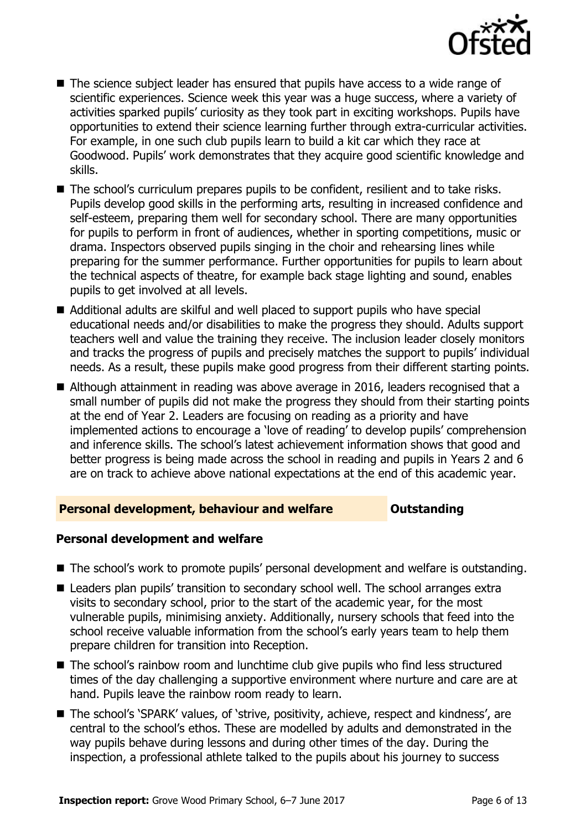

- The science subject leader has ensured that pupils have access to a wide range of scientific experiences. Science week this year was a huge success, where a variety of activities sparked pupils' curiosity as they took part in exciting workshops. Pupils have opportunities to extend their science learning further through extra-curricular activities. For example, in one such club pupils learn to build a kit car which they race at Goodwood. Pupils" work demonstrates that they acquire good scientific knowledge and skills.
- The school's curriculum prepares pupils to be confident, resilient and to take risks. Pupils develop good skills in the performing arts, resulting in increased confidence and self-esteem, preparing them well for secondary school. There are many opportunities for pupils to perform in front of audiences, whether in sporting competitions, music or drama. Inspectors observed pupils singing in the choir and rehearsing lines while preparing for the summer performance. Further opportunities for pupils to learn about the technical aspects of theatre, for example back stage lighting and sound, enables pupils to get involved at all levels.
- Additional adults are skilful and well placed to support pupils who have special educational needs and/or disabilities to make the progress they should. Adults support teachers well and value the training they receive. The inclusion leader closely monitors and tracks the progress of pupils and precisely matches the support to pupils' individual needs. As a result, these pupils make good progress from their different starting points.
- Although attainment in reading was above average in 2016, leaders recognised that a small number of pupils did not make the progress they should from their starting points at the end of Year 2. Leaders are focusing on reading as a priority and have implemented actions to encourage a "love of reading" to develop pupils" comprehension and inference skills. The school"s latest achievement information shows that good and better progress is being made across the school in reading and pupils in Years 2 and 6 are on track to achieve above national expectations at the end of this academic year.

#### **Personal development, behaviour and welfare <b>COUNG COULTS** Outstanding

#### **Personal development and welfare**

- The school's work to promote pupils' personal development and welfare is outstanding.
- Leaders plan pupils' transition to secondary school well. The school arranges extra visits to secondary school, prior to the start of the academic year, for the most vulnerable pupils, minimising anxiety. Additionally, nursery schools that feed into the school receive valuable information from the school's early years team to help them prepare children for transition into Reception.
- The school's rainbow room and lunchtime club give pupils who find less structured times of the day challenging a supportive environment where nurture and care are at hand. Pupils leave the rainbow room ready to learn.
- The school's 'SPARK' values, of 'strive, positivity, achieve, respect and kindness', are central to the school"s ethos. These are modelled by adults and demonstrated in the way pupils behave during lessons and during other times of the day. During the inspection, a professional athlete talked to the pupils about his journey to success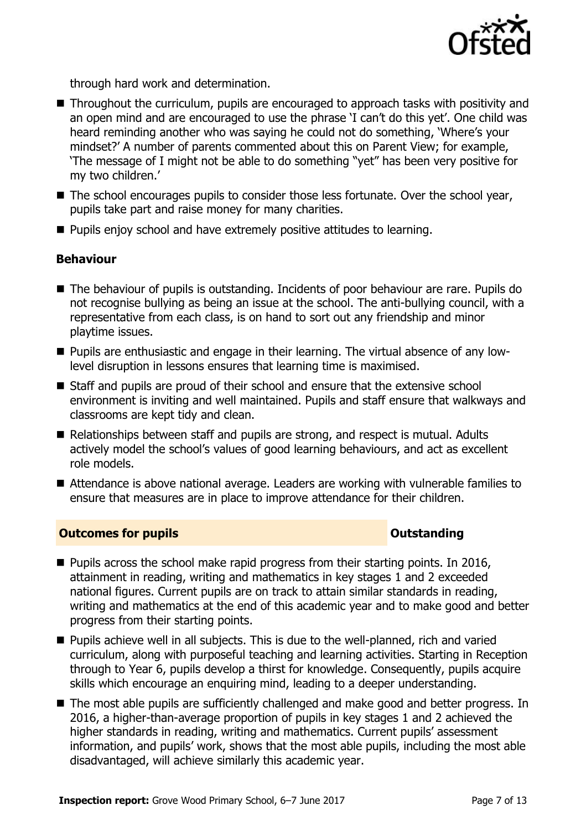

through hard work and determination.

- Throughout the curriculum, pupils are encouraged to approach tasks with positivity and an open mind and are encouraged to use the phrase "I can"t do this yet". One child was heard reminding another who was saying he could not do something, 'Where's your mindset?" A number of parents commented about this on Parent View; for example, "The message of I might not be able to do something "yet" has been very positive for my two children.'
- The school encourages pupils to consider those less fortunate. Over the school year, pupils take part and raise money for many charities.
- **Pupils enjoy school and have extremely positive attitudes to learning.**

### **Behaviour**

- The behaviour of pupils is outstanding. Incidents of poor behaviour are rare. Pupils do not recognise bullying as being an issue at the school. The anti-bullying council, with a representative from each class, is on hand to sort out any friendship and minor playtime issues.
- Pupils are enthusiastic and engage in their learning. The virtual absence of any lowlevel disruption in lessons ensures that learning time is maximised.
- Staff and pupils are proud of their school and ensure that the extensive school environment is inviting and well maintained. Pupils and staff ensure that walkways and classrooms are kept tidy and clean.
- $\blacksquare$  Relationships between staff and pupils are strong, and respect is mutual. Adults actively model the school"s values of good learning behaviours, and act as excellent role models.
- Attendance is above national average. Leaders are working with vulnerable families to ensure that measures are in place to improve attendance for their children.

#### **Outcomes for pupils Outstanding**

- $\blacksquare$  Pupils across the school make rapid progress from their starting points. In 2016, attainment in reading, writing and mathematics in key stages 1 and 2 exceeded national figures. Current pupils are on track to attain similar standards in reading, writing and mathematics at the end of this academic year and to make good and better progress from their starting points.
- Pupils achieve well in all subjects. This is due to the well-planned, rich and varied curriculum, along with purposeful teaching and learning activities. Starting in Reception through to Year 6, pupils develop a thirst for knowledge. Consequently, pupils acquire skills which encourage an enquiring mind, leading to a deeper understanding.
- The most able pupils are sufficiently challenged and make good and better progress. In 2016, a higher-than-average proportion of pupils in key stages 1 and 2 achieved the higher standards in reading, writing and mathematics. Current pupils' assessment information, and pupils" work, shows that the most able pupils, including the most able disadvantaged, will achieve similarly this academic year.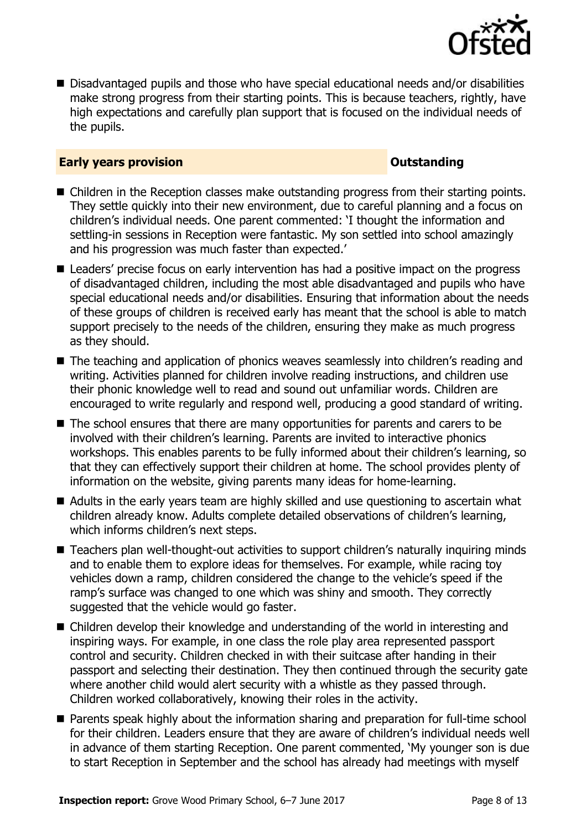

■ Disadvantaged pupils and those who have special educational needs and/or disabilities make strong progress from their starting points. This is because teachers, rightly, have high expectations and carefully plan support that is focused on the individual needs of the pupils.

#### **Early years provision CONSTANDING TO A RESEARCH CONSTANDING TO A RESEARCH CONSTANDING TO A RESEARCH CONSTANDING TO A RESEARCH CONSTANDING TO A RESEARCH CONSTANDING TO A RESEARCH CONSTANDING TO A RESEARCH CONSTANDING TO**

- Children in the Reception classes make outstanding progress from their starting points. They settle quickly into their new environment, due to careful planning and a focus on children"s individual needs. One parent commented: "I thought the information and settling-in sessions in Reception were fantastic. My son settled into school amazingly and his progression was much faster than expected.'
- Leaders' precise focus on early intervention has had a positive impact on the progress of disadvantaged children, including the most able disadvantaged and pupils who have special educational needs and/or disabilities. Ensuring that information about the needs of these groups of children is received early has meant that the school is able to match support precisely to the needs of the children, ensuring they make as much progress as they should.
- The teaching and application of phonics weaves seamlessly into children's reading and writing. Activities planned for children involve reading instructions, and children use their phonic knowledge well to read and sound out unfamiliar words. Children are encouraged to write regularly and respond well, producing a good standard of writing.
- The school ensures that there are many opportunities for parents and carers to be involved with their children"s learning. Parents are invited to interactive phonics workshops. This enables parents to be fully informed about their children's learning, so that they can effectively support their children at home. The school provides plenty of information on the website, giving parents many ideas for home-learning.
- Adults in the early years team are highly skilled and use questioning to ascertain what children already know. Adults complete detailed observations of children"s learning, which informs children's next steps.
- Teachers plan well-thought-out activities to support children's naturally inquiring minds and to enable them to explore ideas for themselves. For example, while racing toy vehicles down a ramp, children considered the change to the vehicle"s speed if the ramp"s surface was changed to one which was shiny and smooth. They correctly suggested that the vehicle would go faster.
- Children develop their knowledge and understanding of the world in interesting and inspiring ways. For example, in one class the role play area represented passport control and security. Children checked in with their suitcase after handing in their passport and selecting their destination. They then continued through the security gate where another child would alert security with a whistle as they passed through. Children worked collaboratively, knowing their roles in the activity.
- **Parents speak highly about the information sharing and preparation for full-time school** for their children. Leaders ensure that they are aware of children"s individual needs well in advance of them starting Reception. One parent commented, "My younger son is due to start Reception in September and the school has already had meetings with myself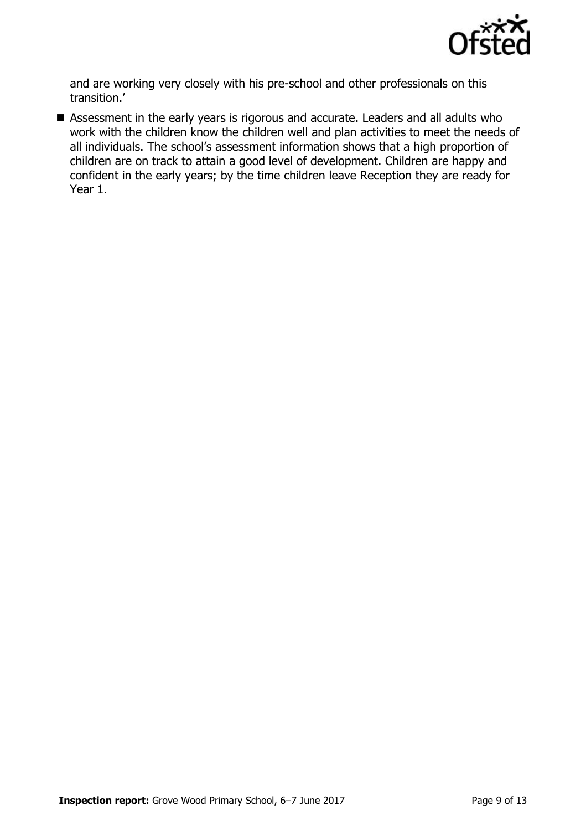

and are working very closely with his pre-school and other professionals on this transition."

 Assessment in the early years is rigorous and accurate. Leaders and all adults who work with the children know the children well and plan activities to meet the needs of all individuals. The school's assessment information shows that a high proportion of children are on track to attain a good level of development. Children are happy and confident in the early years; by the time children leave Reception they are ready for Year 1.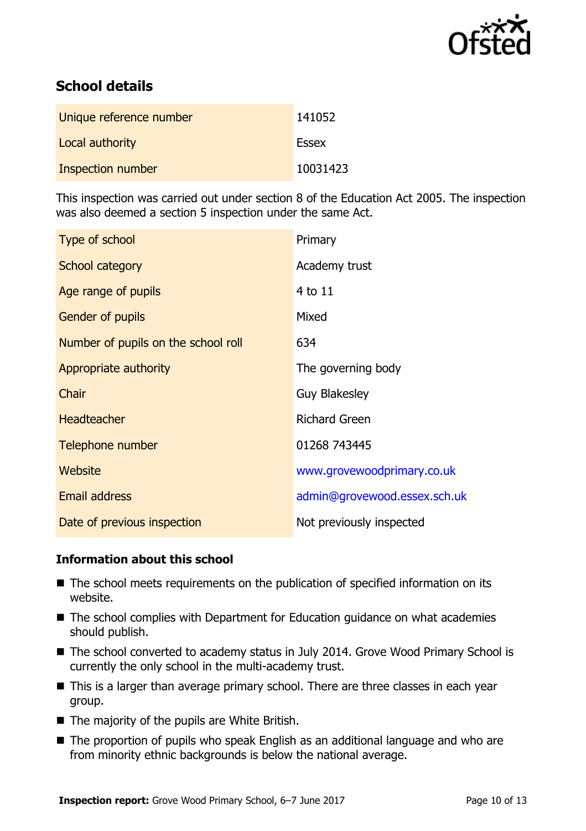

# **School details**

| Unique reference number | 141052       |
|-------------------------|--------------|
| Local authority         | <b>Essex</b> |
| Inspection number       | 10031423     |

This inspection was carried out under section 8 of the Education Act 2005. The inspection was also deemed a section 5 inspection under the same Act.

| Type of school                      | Primary                      |
|-------------------------------------|------------------------------|
| School category                     | Academy trust                |
| Age range of pupils                 | 4 to 11                      |
| <b>Gender of pupils</b>             | Mixed                        |
| Number of pupils on the school roll | 634                          |
| Appropriate authority               | The governing body           |
| Chair                               | <b>Guy Blakesley</b>         |
| <b>Headteacher</b>                  | <b>Richard Green</b>         |
| Telephone number                    | 01268 743445                 |
| Website                             | www.grovewoodprimary.co.uk   |
| Email address                       | admin@grovewood.essex.sch.uk |
| Date of previous inspection         | Not previously inspected     |

#### **Information about this school**

- The school meets requirements on the publication of specified information on its website.
- The school complies with Department for Education guidance on what academies should publish.
- The school converted to academy status in July 2014. Grove Wood Primary School is currently the only school in the multi-academy trust.
- This is a larger than average primary school. There are three classes in each year group.
- $\blacksquare$  The majority of the pupils are White British.
- The proportion of pupils who speak English as an additional language and who are from minority ethnic backgrounds is below the national average.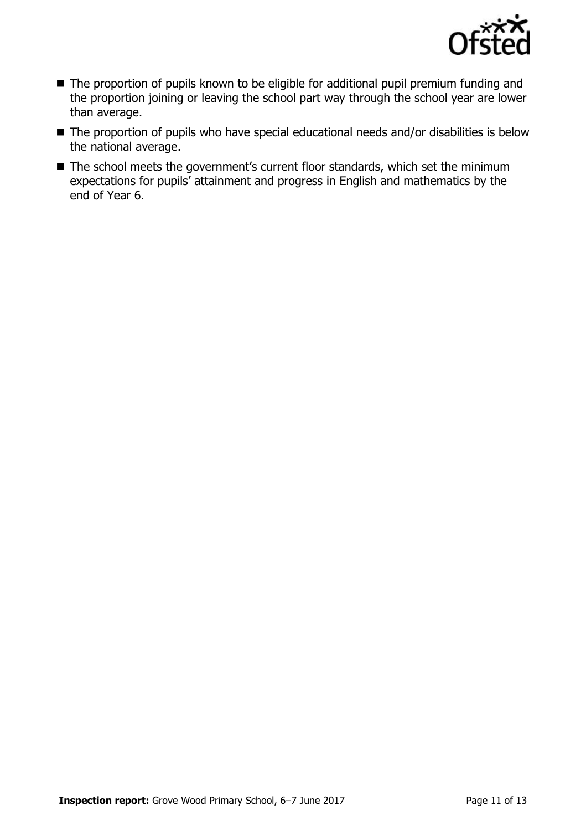

- The proportion of pupils known to be eligible for additional pupil premium funding and the proportion joining or leaving the school part way through the school year are lower than average.
- The proportion of pupils who have special educational needs and/or disabilities is below the national average.
- The school meets the government's current floor standards, which set the minimum expectations for pupils" attainment and progress in English and mathematics by the end of Year 6.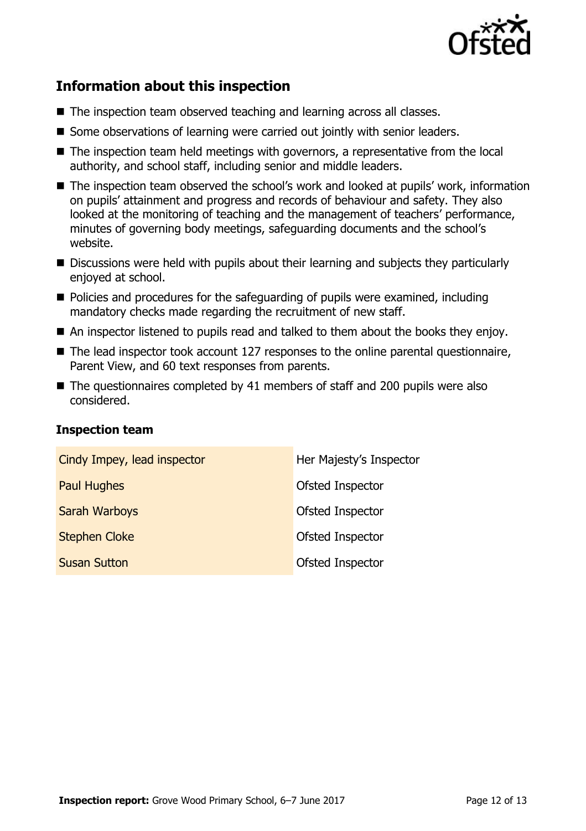

# **Information about this inspection**

- The inspection team observed teaching and learning across all classes.
- Some observations of learning were carried out jointly with senior leaders.
- The inspection team held meetings with governors, a representative from the local authority, and school staff, including senior and middle leaders.
- The inspection team observed the school's work and looked at pupils' work, information on pupils" attainment and progress and records of behaviour and safety. They also looked at the monitoring of teaching and the management of teachers' performance, minutes of governing body meetings, safeguarding documents and the school"s website.
- Discussions were held with pupils about their learning and subjects they particularly enjoyed at school.
- **Policies and procedures for the safeguarding of pupils were examined, including** mandatory checks made regarding the recruitment of new staff.
- An inspector listened to pupils read and talked to them about the books they enjoy.
- The lead inspector took account 127 responses to the online parental questionnaire, Parent View, and 60 text responses from parents.
- The questionnaires completed by 41 members of staff and 200 pupils were also considered.

### **Inspection team**

| Cindy Impey, lead inspector | Her Majesty's Inspector |
|-----------------------------|-------------------------|
| <b>Paul Hughes</b>          | Ofsted Inspector        |
| <b>Sarah Warboys</b>        | Ofsted Inspector        |
| <b>Stephen Cloke</b>        | Ofsted Inspector        |
| <b>Susan Sutton</b>         | Ofsted Inspector        |